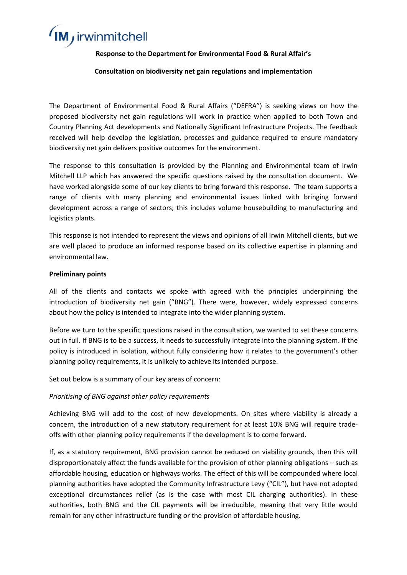# IM, irwinmitchell

#### **Response to the Department for Environmental Food & Rural Affair's**

#### **Consultation on biodiversity net gain regulations and implementation**

The Department of Environmental Food & Rural Affairs ("DEFRA") is seeking views on how the proposed biodiversity net gain regulations will work in practice when applied to both Town and Country Planning Act developments and Nationally Significant Infrastructure Projects. The feedback received will help develop the legislation, processes and guidance required to ensure mandatory biodiversity net gain delivers positive outcomes for the environment.

The response to this consultation is provided by the Planning and Environmental team of Irwin Mitchell LLP which has answered the specific questions raised by the consultation document. We have worked alongside some of our key clients to bring forward this response. The team supports a range of clients with many planning and environmental issues linked with bringing forward development across a range of sectors; this includes volume housebuilding to manufacturing and logistics plants.

This response is not intended to represent the views and opinions of all Irwin Mitchell clients, but we are well placed to produce an informed response based on its collective expertise in planning and environmental law.

#### **Preliminary points**

All of the clients and contacts we spoke with agreed with the principles underpinning the introduction of biodiversity net gain ("BNG"). There were, however, widely expressed concerns about how the policy is intended to integrate into the wider planning system.

Before we turn to the specific questions raised in the consultation, we wanted to set these concerns out in full. If BNG is to be a success, it needs to successfully integrate into the planning system. If the policy is introduced in isolation, without fully considering how it relates to the government's other planning policy requirements, it is unlikely to achieve its intended purpose.

Set out below is a summary of our key areas of concern:

#### *Prioritising of BNG against other policy requirements*

Achieving BNG will add to the cost of new developments. On sites where viability is already a concern, the introduction of a new statutory requirement for at least 10% BNG will require tradeoffs with other planning policy requirements if the development is to come forward.

If, as a statutory requirement, BNG provision cannot be reduced on viability grounds, then this will disproportionately affect the funds available for the provision of other planning obligations – such as affordable housing, education or highways works. The effect of this will be compounded where local planning authorities have adopted the Community Infrastructure Levy ("CIL"), but have not adopted exceptional circumstances relief (as is the case with most CIL charging authorities). In these authorities, both BNG and the CIL payments will be irreducible, meaning that very little would remain for any other infrastructure funding or the provision of affordable housing.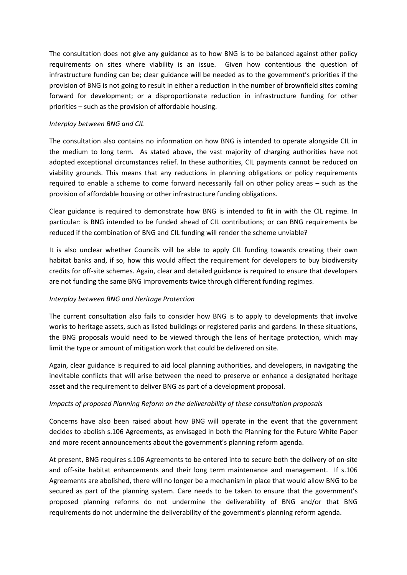The consultation does not give any guidance as to how BNG is to be balanced against other policy requirements on sites where viability is an issue. Given how contentious the question of infrastructure funding can be; clear guidance will be needed as to the government's priorities if the provision of BNG is not going to result in either a reduction in the number of brownfield sites coming forward for development; or a disproportionate reduction in infrastructure funding for other priorities – such as the provision of affordable housing.

#### *Interplay between BNG and CIL*

The consultation also contains no information on how BNG is intended to operate alongside CIL in the medium to long term. As stated above, the vast majority of charging authorities have not adopted exceptional circumstances relief. In these authorities, CIL payments cannot be reduced on viability grounds. This means that any reductions in planning obligations or policy requirements required to enable a scheme to come forward necessarily fall on other policy areas – such as the provision of affordable housing or other infrastructure funding obligations.

Clear guidance is required to demonstrate how BNG is intended to fit in with the CIL regime. In particular: is BNG intended to be funded ahead of CIL contributions; or can BNG requirements be reduced if the combination of BNG and CIL funding will render the scheme unviable?

It is also unclear whether Councils will be able to apply CIL funding towards creating their own habitat banks and, if so, how this would affect the requirement for developers to buy biodiversity credits for off-site schemes. Again, clear and detailed guidance is required to ensure that developers are not funding the same BNG improvements twice through different funding regimes.

#### *Interplay between BNG and Heritage Protection*

The current consultation also fails to consider how BNG is to apply to developments that involve works to heritage assets, such as listed buildings or registered parks and gardens. In these situations, the BNG proposals would need to be viewed through the lens of heritage protection, which may limit the type or amount of mitigation work that could be delivered on site.

Again, clear guidance is required to aid local planning authorities, and developers, in navigating the inevitable conflicts that will arise between the need to preserve or enhance a designated heritage asset and the requirement to deliver BNG as part of a development proposal.

#### *Impacts of proposed Planning Reform on the deliverability of these consultation proposals*

Concerns have also been raised about how BNG will operate in the event that the government decides to abolish s.106 Agreements, as envisaged in both the Planning for the Future White Paper and more recent announcements about the government's planning reform agenda.

At present, BNG requires s.106 Agreements to be entered into to secure both the delivery of on-site and off-site habitat enhancements and their long term maintenance and management. If s.106 Agreements are abolished, there will no longer be a mechanism in place that would allow BNG to be secured as part of the planning system. Care needs to be taken to ensure that the government's proposed planning reforms do not undermine the deliverability of BNG and/or that BNG requirements do not undermine the deliverability of the government's planning reform agenda.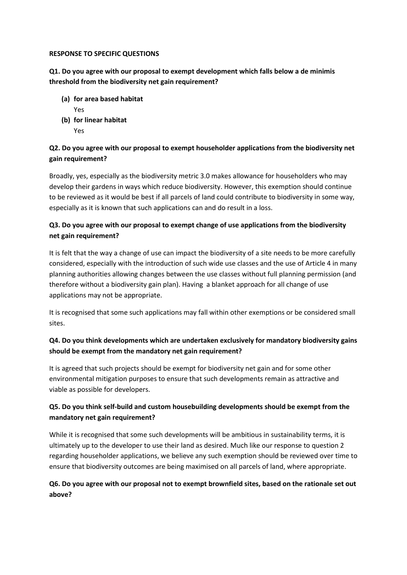#### **RESPONSE TO SPECIFIC QUESTIONS**

**Q1. Do you agree with our proposal to exempt development which falls below a de minimis threshold from the biodiversity net gain requirement?**

- **(a) for area based habitat** Yes
- **(b) for linear habitat** Yes

#### **Q2. Do you agree with our proposal to exempt householder applications from the biodiversity net gain requirement?**

Broadly, yes, especially as the biodiversity metric 3.0 makes allowance for householders who may develop their gardens in ways which reduce biodiversity. However, this exemption should continue to be reviewed as it would be best if all parcels of land could contribute to biodiversity in some way, especially as it is known that such applications can and do result in a loss.

# **Q3. Do you agree with our proposal to exempt change of use applications from the biodiversity net gain requirement?**

It is felt that the way a change of use can impact the biodiversity of a site needs to be more carefully considered, especially with the introduction of such wide use classes and the use of Article 4 in many planning authorities allowing changes between the use classes without full planning permission (and therefore without a biodiversity gain plan). Having a blanket approach for all change of use applications may not be appropriate.

It is recognised that some such applications may fall within other exemptions or be considered small sites.

#### **Q4. Do you think developments which are undertaken exclusively for mandatory biodiversity gains should be exempt from the mandatory net gain requirement?**

It is agreed that such projects should be exempt for biodiversity net gain and for some other environmental mitigation purposes to ensure that such developments remain as attractive and viable as possible for developers.

#### **Q5. Do you think self-build and custom housebuilding developments should be exempt from the mandatory net gain requirement?**

While it is recognised that some such developments will be ambitious in sustainability terms, it is ultimately up to the developer to use their land as desired. Much like our response to question 2 regarding householder applications, we believe any such exemption should be reviewed over time to ensure that biodiversity outcomes are being maximised on all parcels of land, where appropriate.

#### **Q6. Do you agree with our proposal not to exempt brownfield sites, based on the rationale set out above?**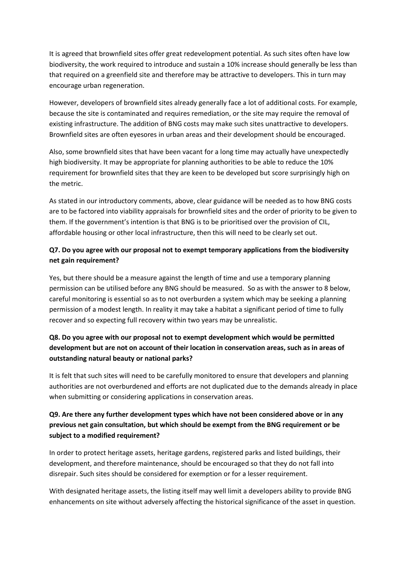It is agreed that brownfield sites offer great redevelopment potential. As such sites often have low biodiversity, the work required to introduce and sustain a 10% increase should generally be less than that required on a greenfield site and therefore may be attractive to developers. This in turn may encourage urban regeneration.

However, developers of brownfield sites already generally face a lot of additional costs. For example, because the site is contaminated and requires remediation, or the site may require the removal of existing infrastructure. The addition of BNG costs may make such sites unattractive to developers. Brownfield sites are often eyesores in urban areas and their development should be encouraged.

Also, some brownfield sites that have been vacant for a long time may actually have unexpectedly high biodiversity. It may be appropriate for planning authorities to be able to reduce the 10% requirement for brownfield sites that they are keen to be developed but score surprisingly high on the metric.

As stated in our introductory comments, above, clear guidance will be needed as to how BNG costs are to be factored into viability appraisals for brownfield sites and the order of priority to be given to them. If the government's intention is that BNG is to be prioritised over the provision of CIL, affordable housing or other local infrastructure, then this will need to be clearly set out.

#### **Q7. Do you agree with our proposal not to exempt temporary applications from the biodiversity net gain requirement?**

Yes, but there should be a measure against the length of time and use a temporary planning permission can be utilised before any BNG should be measured. So as with the answer to 8 below, careful monitoring is essential so as to not overburden a system which may be seeking a planning permission of a modest length. In reality it may take a habitat a significant period of time to fully recover and so expecting full recovery within two years may be unrealistic.

# **Q8. Do you agree with our proposal not to exempt development which would be permitted development but are not on account of their location in conservation areas, such as in areas of outstanding natural beauty or national parks?**

It is felt that such sites will need to be carefully monitored to ensure that developers and planning authorities are not overburdened and efforts are not duplicated due to the demands already in place when submitting or considering applications in conservation areas.

## **Q9. Are there any further development types which have not been considered above or in any previous net gain consultation, but which should be exempt from the BNG requirement or be subject to a modified requirement?**

In order to protect heritage assets, heritage gardens, registered parks and listed buildings, their development, and therefore maintenance, should be encouraged so that they do not fall into disrepair. Such sites should be considered for exemption or for a lesser requirement.

With designated heritage assets, the listing itself may well limit a developers ability to provide BNG enhancements on site without adversely affecting the historical significance of the asset in question.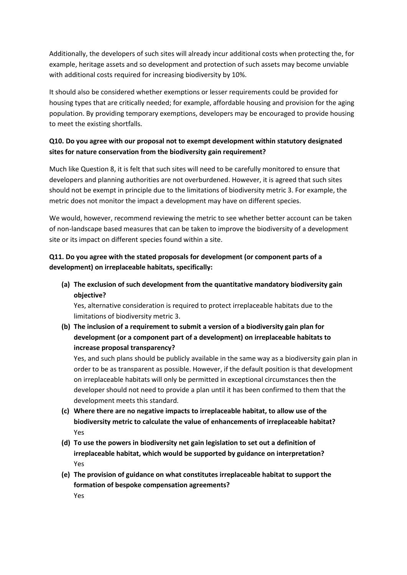Additionally, the developers of such sites will already incur additional costs when protecting the, for example, heritage assets and so development and protection of such assets may become unviable with additional costs required for increasing biodiversity by 10%.

It should also be considered whether exemptions or lesser requirements could be provided for housing types that are critically needed; for example, affordable housing and provision for the aging population. By providing temporary exemptions, developers may be encouraged to provide housing to meet the existing shortfalls.

#### **Q10. Do you agree with our proposal not to exempt development within statutory designated sites for nature conservation from the biodiversity gain requirement?**

Much like Question 8, it is felt that such sites will need to be carefully monitored to ensure that developers and planning authorities are not overburdened. However, it is agreed that such sites should not be exempt in principle due to the limitations of biodiversity metric 3. For example, the metric does not monitor the impact a development may have on different species.

We would, however, recommend reviewing the metric to see whether better account can be taken of non-landscape based measures that can be taken to improve the biodiversity of a development site or its impact on different species found within a site.

#### **Q11. Do you agree with the stated proposals for development (or component parts of a development) on irreplaceable habitats, specifically:**

**(a) The exclusion of such development from the quantitative mandatory biodiversity gain objective?** 

Yes, alternative consideration is required to protect irreplaceable habitats due to the limitations of biodiversity metric 3.

**(b) The inclusion of a requirement to submit a version of a biodiversity gain plan for development (or a component part of a development) on irreplaceable habitats to increase proposal transparency?**

Yes, and such plans should be publicly available in the same way as a biodiversity gain plan in order to be as transparent as possible. However, if the default position is that development on irreplaceable habitats will only be permitted in exceptional circumstances then the developer should not need to provide a plan until it has been confirmed to them that the development meets this standard.

- **(c) Where there are no negative impacts to irreplaceable habitat, to allow use of the biodiversity metric to calculate the value of enhancements of irreplaceable habitat?** Yes
- **(d) To use the powers in biodiversity net gain legislation to set out a definition of irreplaceable habitat, which would be supported by guidance on interpretation?**  Yes
- **(e) The provision of guidance on what constitutes irreplaceable habitat to support the formation of bespoke compensation agreements?**

Yes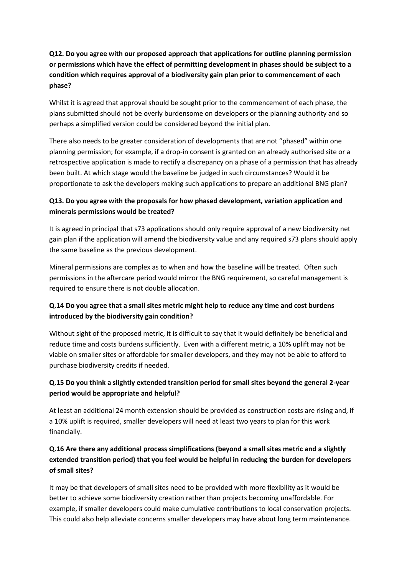# **Q12. Do you agree with our proposed approach that applications for outline planning permission or permissions which have the effect of permitting development in phases should be subject to a condition which requires approval of a biodiversity gain plan prior to commencement of each phase?**

Whilst it is agreed that approval should be sought prior to the commencement of each phase, the plans submitted should not be overly burdensome on developers or the planning authority and so perhaps a simplified version could be considered beyond the initial plan.

There also needs to be greater consideration of developments that are not "phased" within one planning permission; for example, if a drop-in consent is granted on an already authorised site or a retrospective application is made to rectify a discrepancy on a phase of a permission that has already been built. At which stage would the baseline be judged in such circumstances? Would it be proportionate to ask the developers making such applications to prepare an additional BNG plan?

#### **Q13. Do you agree with the proposals for how phased development, variation application and minerals permissions would be treated?**

It is agreed in principal that s73 applications should only require approval of a new biodiversity net gain plan if the application will amend the biodiversity value and any required s73 plans should apply the same baseline as the previous development.

Mineral permissions are complex as to when and how the baseline will be treated. Often such permissions in the aftercare period would mirror the BNG requirement, so careful management is required to ensure there is not double allocation.

# **Q.14 Do you agree that a small sites metric might help to reduce any time and cost burdens introduced by the biodiversity gain condition?**

Without sight of the proposed metric, it is difficult to say that it would definitely be beneficial and reduce time and costs burdens sufficiently. Even with a different metric, a 10% uplift may not be viable on smaller sites or affordable for smaller developers, and they may not be able to afford to purchase biodiversity credits if needed.

# **Q.15 Do you think a slightly extended transition period for small sites beyond the general 2-year period would be appropriate and helpful?**

At least an additional 24 month extension should be provided as construction costs are rising and, if a 10% uplift is required, smaller developers will need at least two years to plan for this work financially.

# **Q.16 Are there any additional process simplifications (beyond a small sites metric and a slightly extended transition period) that you feel would be helpful in reducing the burden for developers of small sites?**

It may be that developers of small sites need to be provided with more flexibility as it would be better to achieve some biodiversity creation rather than projects becoming unaffordable. For example, if smaller developers could make cumulative contributions to local conservation projects. This could also help alleviate concerns smaller developers may have about long term maintenance.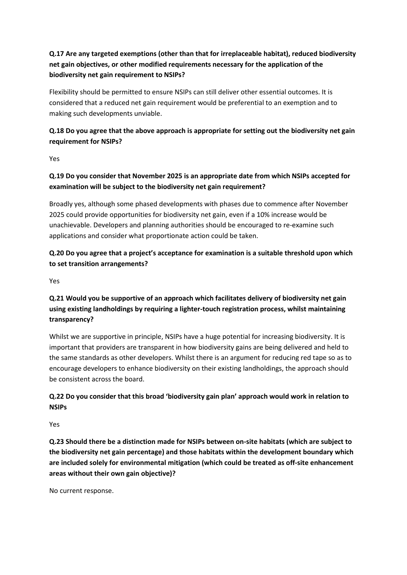# **Q.17 Are any targeted exemptions (other than that for irreplaceable habitat), reduced biodiversity net gain objectives, or other modified requirements necessary for the application of the biodiversity net gain requirement to NSIPs?**

Flexibility should be permitted to ensure NSIPs can still deliver other essential outcomes. It is considered that a reduced net gain requirement would be preferential to an exemption and to making such developments unviable.

# **Q.18 Do you agree that the above approach is appropriate for setting out the biodiversity net gain requirement for NSIPs?**

Yes

# **Q.19 Do you consider that November 2025 is an appropriate date from which NSIPs accepted for examination will be subject to the biodiversity net gain requirement?**

Broadly yes, although some phased developments with phases due to commence after November 2025 could provide opportunities for biodiversity net gain, even if a 10% increase would be unachievable. Developers and planning authorities should be encouraged to re-examine such applications and consider what proportionate action could be taken.

# **Q.20 Do you agree that a project's acceptance for examination is a suitable threshold upon which to set transition arrangements?**

Yes

# **Q.21 Would you be supportive of an approach which facilitates delivery of biodiversity net gain using existing landholdings by requiring a lighter-touch registration process, whilst maintaining transparency?**

Whilst we are supportive in principle, NSIPs have a huge potential for increasing biodiversity. It is important that providers are transparent in how biodiversity gains are being delivered and held to the same standards as other developers. Whilst there is an argument for reducing red tape so as to encourage developers to enhance biodiversity on their existing landholdings, the approach should be consistent across the board.

# **Q.22 Do you consider that this broad 'biodiversity gain plan' approach would work in relation to NSIPs**

Yes

**Q.23 Should there be a distinction made for NSIPs between on-site habitats (which are subject to the biodiversity net gain percentage) and those habitats within the development boundary which are included solely for environmental mitigation (which could be treated as off-site enhancement areas without their own gain objective)?**

No current response.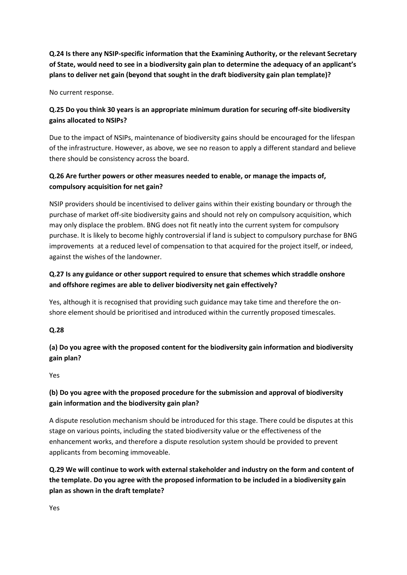**Q.24 Is there any NSIP-specific information that the Examining Authority, or the relevant Secretary of State, would need to see in a biodiversity gain plan to determine the adequacy of an applicant's plans to deliver net gain (beyond that sought in the draft biodiversity gain plan template)?**

No current response.

#### **Q.25 Do you think 30 years is an appropriate minimum duration for securing off-site biodiversity gains allocated to NSIPs?**

Due to the impact of NSIPs, maintenance of biodiversity gains should be encouraged for the lifespan of the infrastructure. However, as above, we see no reason to apply a different standard and believe there should be consistency across the board.

#### **Q.26 Are further powers or other measures needed to enable, or manage the impacts of, compulsory acquisition for net gain?**

NSIP providers should be incentivised to deliver gains within their existing boundary or through the purchase of market off-site biodiversity gains and should not rely on compulsory acquisition, which may only displace the problem. BNG does not fit neatly into the current system for compulsory purchase. It is likely to become highly controversial if land is subject to compulsory purchase for BNG improvements at a reduced level of compensation to that acquired for the project itself, or indeed, against the wishes of the landowner.

# **Q.27 Is any guidance or other support required to ensure that schemes which straddle onshore and offshore regimes are able to deliver biodiversity net gain effectively?**

Yes, although it is recognised that providing such guidance may take time and therefore the onshore element should be prioritised and introduced within the currently proposed timescales.

#### **Q.28**

**(a) Do you agree with the proposed content for the biodiversity gain information and biodiversity gain plan?**

Yes

# **(b) Do you agree with the proposed procedure for the submission and approval of biodiversity gain information and the biodiversity gain plan?**

A dispute resolution mechanism should be introduced for this stage. There could be disputes at this stage on various points, including the stated biodiversity value or the effectiveness of the enhancement works, and therefore a dispute resolution system should be provided to prevent applicants from becoming immoveable.

# **Q.29 We will continue to work with external stakeholder and industry on the form and content of the template. Do you agree with the proposed information to be included in a biodiversity gain plan as shown in the draft template?**

Yes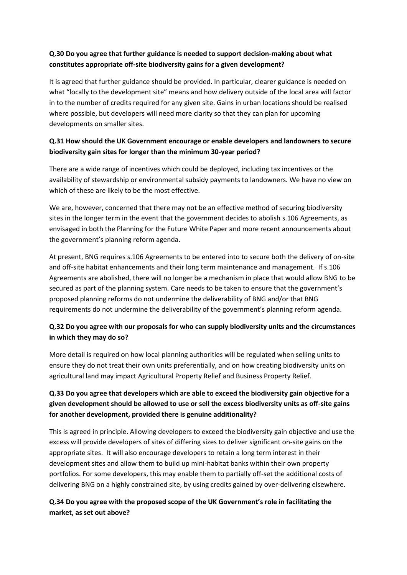#### **Q.30 Do you agree that further guidance is needed to support decision-making about what constitutes appropriate off-site biodiversity gains for a given development?**

It is agreed that further guidance should be provided. In particular, clearer guidance is needed on what "locally to the development site" means and how delivery outside of the local area will factor in to the number of credits required for any given site. Gains in urban locations should be realised where possible, but developers will need more clarity so that they can plan for upcoming developments on smaller sites.

#### **Q.31 How should the UK Government encourage or enable developers and landowners to secure biodiversity gain sites for longer than the minimum 30-year period?**

There are a wide range of incentives which could be deployed, including tax incentives or the availability of stewardship or environmental subsidy payments to landowners. We have no view on which of these are likely to be the most effective.

We are, however, concerned that there may not be an effective method of securing biodiversity sites in the longer term in the event that the government decides to abolish s.106 Agreements, as envisaged in both the Planning for the Future White Paper and more recent announcements about the government's planning reform agenda.

At present, BNG requires s.106 Agreements to be entered into to secure both the delivery of on-site and off-site habitat enhancements and their long term maintenance and management. If s.106 Agreements are abolished, there will no longer be a mechanism in place that would allow BNG to be secured as part of the planning system. Care needs to be taken to ensure that the government's proposed planning reforms do not undermine the deliverability of BNG and/or that BNG requirements do not undermine the deliverability of the government's planning reform agenda.

# **Q.32 Do you agree with our proposals for who can supply biodiversity units and the circumstances in which they may do so?**

More detail is required on how local planning authorities will be regulated when selling units to ensure they do not treat their own units preferentially, and on how creating biodiversity units on agricultural land may impact Agricultural Property Relief and Business Property Relief.

# **Q.33 Do you agree that developers which are able to exceed the biodiversity gain objective for a given development should be allowed to use or sell the excess biodiversity units as off-site gains for another development, provided there is genuine additionality?**

This is agreed in principle. Allowing developers to exceed the biodiversity gain objective and use the excess will provide developers of sites of differing sizes to deliver significant on-site gains on the appropriate sites. It will also encourage developers to retain a long term interest in their development sites and allow them to build up mini-habitat banks within their own property portfolios. For some developers, this may enable them to partially off-set the additional costs of delivering BNG on a highly constrained site, by using credits gained by over-delivering elsewhere.

# **Q.34 Do you agree with the proposed scope of the UK Government's role in facilitating the market, as set out above?**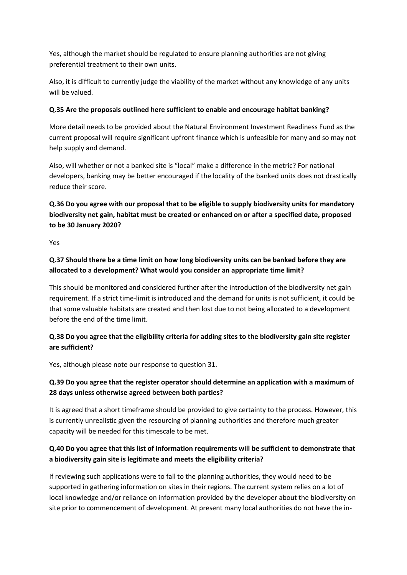Yes, although the market should be regulated to ensure planning authorities are not giving preferential treatment to their own units.

Also, it is difficult to currently judge the viability of the market without any knowledge of any units will be valued.

#### **Q.35 Are the proposals outlined here sufficient to enable and encourage habitat banking?**

More detail needs to be provided about the Natural Environment Investment Readiness Fund as the current proposal will require significant upfront finance which is unfeasible for many and so may not help supply and demand.

Also, will whether or not a banked site is "local" make a difference in the metric? For national developers, banking may be better encouraged if the locality of the banked units does not drastically reduce their score.

# **Q.36 Do you agree with our proposal that to be eligible to supply biodiversity units for mandatory biodiversity net gain, habitat must be created or enhanced on or after a specified date, proposed to be 30 January 2020?**

Yes

# **Q.37 Should there be a time limit on how long biodiversity units can be banked before they are allocated to a development? What would you consider an appropriate time limit?**

This should be monitored and considered further after the introduction of the biodiversity net gain requirement. If a strict time-limit is introduced and the demand for units is not sufficient, it could be that some valuable habitats are created and then lost due to not being allocated to a development before the end of the time limit.

# **Q.38 Do you agree that the eligibility criteria for adding sites to the biodiversity gain site register are sufficient?**

Yes, although please note our response to question 31.

# **Q.39 Do you agree that the register operator should determine an application with a maximum of 28 days unless otherwise agreed between both parties?**

It is agreed that a short timeframe should be provided to give certainty to the process. However, this is currently unrealistic given the resourcing of planning authorities and therefore much greater capacity will be needed for this timescale to be met.

#### **Q.40 Do you agree that this list of information requirements will be sufficient to demonstrate that a biodiversity gain site is legitimate and meets the eligibility criteria?**

If reviewing such applications were to fall to the planning authorities, they would need to be supported in gathering information on sites in their regions. The current system relies on a lot of local knowledge and/or reliance on information provided by the developer about the biodiversity on site prior to commencement of development. At present many local authorities do not have the in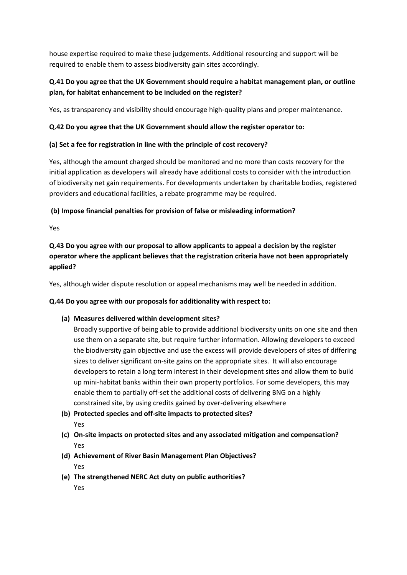house expertise required to make these judgements. Additional resourcing and support will be required to enable them to assess biodiversity gain sites accordingly.

# **Q.41 Do you agree that the UK Government should require a habitat management plan, or outline plan, for habitat enhancement to be included on the register?**

Yes, as transparency and visibility should encourage high-quality plans and proper maintenance.

#### **Q.42 Do you agree that the UK Government should allow the register operator to:**

#### **(a) Set a fee for registration in line with the principle of cost recovery?**

Yes, although the amount charged should be monitored and no more than costs recovery for the initial application as developers will already have additional costs to consider with the introduction of biodiversity net gain requirements. For developments undertaken by charitable bodies, registered providers and educational facilities, a rebate programme may be required.

#### **(b) Impose financial penalties for provision of false or misleading information?**

Yes

# **Q.43 Do you agree with our proposal to allow applicants to appeal a decision by the register operator where the applicant believes that the registration criteria have not been appropriately applied?**

Yes, although wider dispute resolution or appeal mechanisms may well be needed in addition.

#### **Q.44 Do you agree with our proposals for additionality with respect to:**

#### **(a) Measures delivered within development sites?**

Broadly supportive of being able to provide additional biodiversity units on one site and then use them on a separate site, but require further information. Allowing developers to exceed the biodiversity gain objective and use the excess will provide developers of sites of differing sizes to deliver significant on-site gains on the appropriate sites. It will also encourage developers to retain a long term interest in their development sites and allow them to build up mini-habitat banks within their own property portfolios. For some developers, this may enable them to partially off-set the additional costs of delivering BNG on a highly constrained site, by using credits gained by over-delivering elsewhere

- **(b) Protected species and off-site impacts to protected sites?** Yes
- **(c) On-site impacts on protected sites and any associated mitigation and compensation?**  Yes
- **(d) Achievement of River Basin Management Plan Objectives?** Yes
- **(e) The strengthened NERC Act duty on public authorities?**  Yes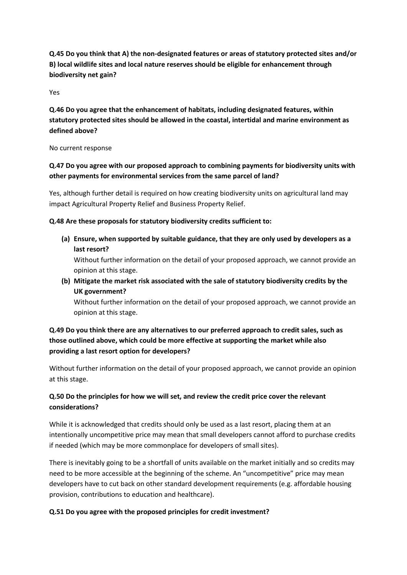**Q.45 Do you think that A) the non-designated features or areas of statutory protected sites and/or B) local wildlife sites and local nature reserves should be eligible for enhancement through biodiversity net gain?**

Yes

**Q.46 Do you agree that the enhancement of habitats, including designated features, within statutory protected sites should be allowed in the coastal, intertidal and marine environment as defined above?**

No current response

# **Q.47 Do you agree with our proposed approach to combining payments for biodiversity units with other payments for environmental services from the same parcel of land?**

Yes, although further detail is required on how creating biodiversity units on agricultural land may impact Agricultural Property Relief and Business Property Relief.

**Q.48 Are these proposals for statutory biodiversity credits sufficient to:**

**(a) Ensure, when supported by suitable guidance, that they are only used by developers as a last resort?** 

Without further information on the detail of your proposed approach, we cannot provide an opinion at this stage.

**(b) Mitigate the market risk associated with the sale of statutory biodiversity credits by the UK government?** 

Without further information on the detail of your proposed approach, we cannot provide an opinion at this stage.

## **Q.49 Do you think there are any alternatives to our preferred approach to credit sales, such as those outlined above, which could be more effective at supporting the market while also providing a last resort option for developers?**

Without further information on the detail of your proposed approach, we cannot provide an opinion at this stage.

#### **Q.50 Do the principles for how we will set, and review the credit price cover the relevant considerations?**

While it is acknowledged that credits should only be used as a last resort, placing them at an intentionally uncompetitive price may mean that small developers cannot afford to purchase credits if needed (which may be more commonplace for developers of small sites).

There is inevitably going to be a shortfall of units available on the market initially and so credits may need to be more accessible at the beginning of the scheme. An "uncompetitive" price may mean developers have to cut back on other standard development requirements (e.g. affordable housing provision, contributions to education and healthcare).

#### **Q.51 Do you agree with the proposed principles for credit investment?**